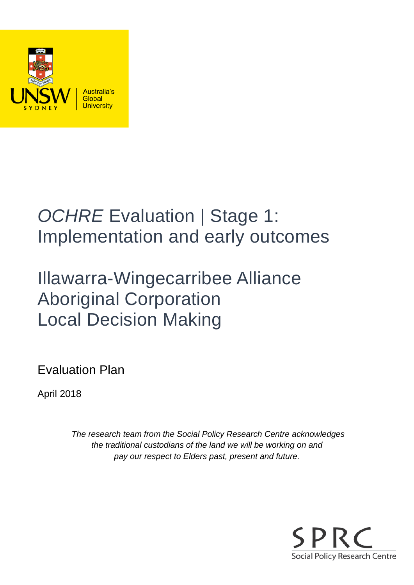

# *OCHRE* Evaluation | Stage 1: Implementation and early outcomes

# Illawarra-Wingecarribee Alliance Aboriginal Corporation Local Decision Making

Evaluation Plan

April 2018

*The research team from the Social Policy Research Centre acknowledges the traditional custodians of the land we will be working on and pay our respect to Elders past, present and future.*

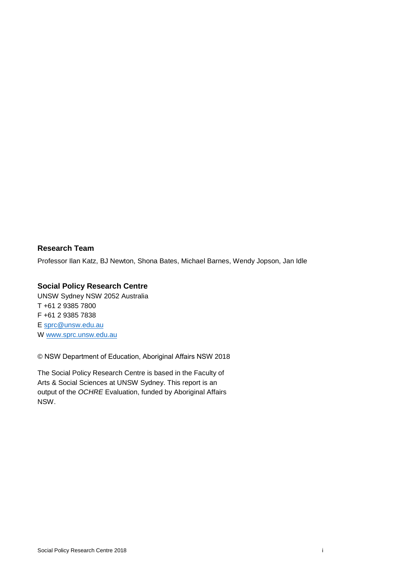#### **Research Team**

Professor Ilan Katz, BJ Newton, Shona Bates, Michael Barnes, Wendy Jopson, Jan Idle

#### **Social Policy Research Centre**

UNSW Sydney NSW 2052 Australia T +61 2 9385 7800 F +61 2 9385 7838 E [sprc@unsw.edu.au](mailto:sprc@unsw.edu.au) W [www.sprc.unsw.edu.au](http://www.sprc.unsw.edu.au/)

© NSW Department of Education, Aboriginal Affairs NSW 2018

The Social Policy Research Centre is based in the Faculty of Arts & Social Sciences at UNSW Sydney. This report is an output of the *OCHRE* Evaluation, funded by Aboriginal Affairs NSW.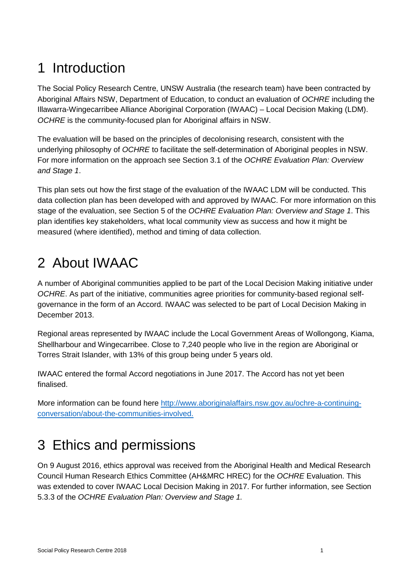## 1 Introduction

The Social Policy Research Centre, UNSW Australia (the research team) have been contracted by Aboriginal Affairs NSW, Department of Education, to conduct an evaluation of *OCHRE* including the Illawarra-Wingecarribee Alliance Aboriginal Corporation (IWAAC) – Local Decision Making (LDM). *OCHRE* is the community-focused plan for Aboriginal affairs in NSW.

The evaluation will be based on the principles of decolonising research, consistent with the underlying philosophy of *OCHRE* to facilitate the self-determination of Aboriginal peoples in NSW. For more information on the approach see Section 3.1 of the *OCHRE Evaluation Plan: Overview and Stage 1*.

This plan sets out how the first stage of the evaluation of the IWAAC LDM will be conducted. This data collection plan has been developed with and approved by IWAAC. For more information on this stage of the evaluation, see Section 5 of the *OCHRE Evaluation Plan: Overview and Stage 1*. This plan identifies key stakeholders, what local community view as success and how it might be measured (where identified), method and timing of data collection.

## 2 About IWAAC

A number of Aboriginal communities applied to be part of the Local Decision Making initiative under *OCHRE*. As part of the initiative, communities agree priorities for community-based regional selfgovernance in the form of an Accord. IWAAC was selected to be part of Local Decision Making in December 2013.

Regional areas represented by IWAAC include the Local Government Areas of Wollongong, Kiama, Shellharbour and Wingecarribee. Close to 7,240 people who live in the region are Aboriginal or Torres Strait Islander, with 13% of this group being under 5 years old.

IWAAC entered the formal Accord negotiations in June 2017. The Accord has not yet been finalised.

More information can be found here [http://www.aboriginalaffairs.nsw.gov.au/ochre-a-continuing](http://www.aboriginalaffairs.nsw.gov.au/ochre-a-continuing-conversation/about-the-communities-involved)[conversation/about-the-communities-involved.](http://www.aboriginalaffairs.nsw.gov.au/ochre-a-continuing-conversation/about-the-communities-involved)

## 3 Ethics and permissions

On 9 August 2016, ethics approval was received from the Aboriginal Health and Medical Research Council Human Research Ethics Committee (AH&MRC HREC) for the *OCHRE* Evaluation. This was extended to cover IWAAC Local Decision Making in 2017. For further information, see Section 5.3.3 of the *OCHRE Evaluation Plan: Overview and Stage 1.*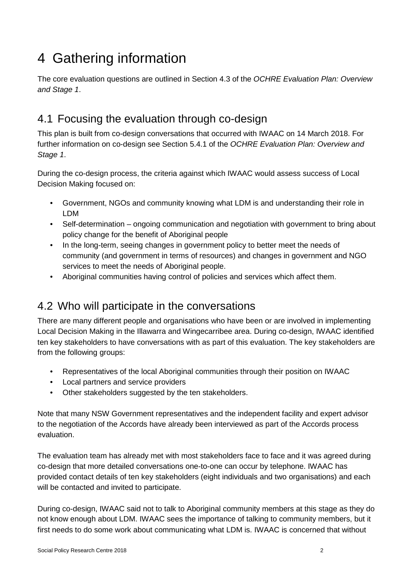## 4 Gathering information

The core evaluation questions are outlined in Section 4.3 of the *OCHRE Evaluation Plan: Overview and Stage 1*.

## 4.1 Focusing the evaluation through co-design

This plan is built from co-design conversations that occurred with IWAAC on 14 March 2018. For further information on co-design see Section 5.4.1 of the *OCHRE Evaluation Plan: Overview and Stage 1*.

During the co-design process, the criteria against which IWAAC would assess success of Local Decision Making focused on:

- Government, NGOs and community knowing what LDM is and understanding their role in LDM
- Self-determination ongoing communication and negotiation with government to bring about policy change for the benefit of Aboriginal people
- In the long-term, seeing changes in government policy to better meet the needs of community (and government in terms of resources) and changes in government and NGO services to meet the needs of Aboriginal people.
- Aboriginal communities having control of policies and services which affect them.

### 4.2 Who will participate in the conversations

There are many different people and organisations who have been or are involved in implementing Local Decision Making in the Illawarra and Wingecarribee area. During co-design, IWAAC identified ten key stakeholders to have conversations with as part of this evaluation. The key stakeholders are from the following groups:

- Representatives of the local Aboriginal communities through their position on IWAAC
- Local partners and service providers
- Other stakeholders suggested by the ten stakeholders.

Note that many NSW Government representatives and the independent facility and expert advisor to the negotiation of the Accords have already been interviewed as part of the Accords process evaluation.

The evaluation team has already met with most stakeholders face to face and it was agreed during co-design that more detailed conversations one-to-one can occur by telephone. IWAAC has provided contact details of ten key stakeholders (eight individuals and two organisations) and each will be contacted and invited to participate.

During co-design, IWAAC said not to talk to Aboriginal community members at this stage as they do not know enough about LDM. IWAAC sees the importance of talking to community members, but it first needs to do some work about communicating what LDM is. IWAAC is concerned that without